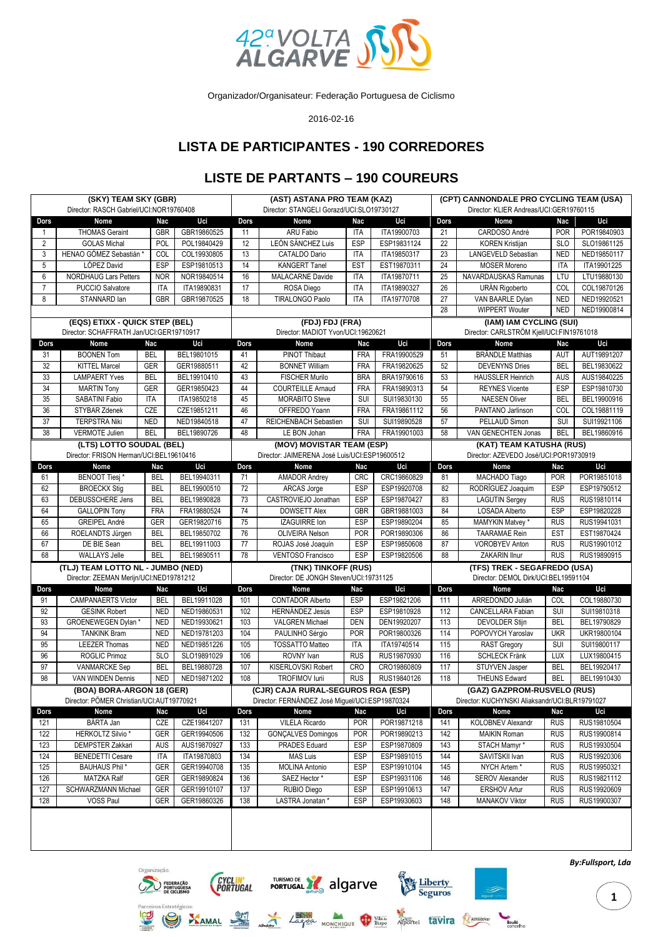

Organizador/Organisateur: Federação Portuguesa de Ciclismo

2016-02-16

## **LISTA DE PARTICIPANTES - 190 CORREDORES**

## **LISTE DE PARTANTS – 190 COUREURS**

| (SKY) TEAM SKY (GBR)<br>Director: RASCH Gabriel/UCI:NOR19760408     |                                          |            |             | (AST) ASTANA PRO TEAM (KAZ)<br>Director: STANGELI Gorazd/UCI:SLO19730127 |                                                 |            |                                                | (CPT) CANNONDALE PRO CYCLING TEAM (USA)<br>Director: KLIER Andreas/UCI:GER19760115 |                                               |             |             |  |  |
|---------------------------------------------------------------------|------------------------------------------|------------|-------------|--------------------------------------------------------------------------|-------------------------------------------------|------------|------------------------------------------------|------------------------------------------------------------------------------------|-----------------------------------------------|-------------|-------------|--|--|
| Dors<br>Nome                                                        |                                          | <b>Nac</b> | Uci         | Dors                                                                     | Nome                                            | Nac        | Uci                                            | Dors                                                                               | Nome                                          | Nac         | Uci         |  |  |
| $\overline{1}$                                                      | <b>THOMAS Geraint</b>                    | GBR        | GBR19860525 | 11                                                                       | ARU Fabio                                       | ITA        | ITA19900703                                    | 21                                                                                 | CARDOSO André                                 | <b>POR</b>  | POR19840903 |  |  |
| $\overline{2}$                                                      | <b>GOLAS Michal</b>                      | POL        |             | 12                                                                       | LEÓN SÁNCHEZ Luis                               | <b>ESP</b> | ESP19831124                                    | 22                                                                                 |                                               |             | SLO19861125 |  |  |
|                                                                     | HENAO GÓMEZ Sebastián *                  |            | POL19840429 |                                                                          |                                                 |            |                                                |                                                                                    | <b>KOREN Kristijan</b><br>LANGEVELD Sebastian | <b>SLO</b>  |             |  |  |
| 3                                                                   |                                          | COL        | COL19930805 | 13                                                                       | CATALDO Dario                                   | <b>ITA</b> | ITA19850317                                    | 23                                                                                 |                                               | <b>NED</b>  | NED19850117 |  |  |
| 5                                                                   | LÓPEZ David                              | <b>ESP</b> | ESP19810513 | 14                                                                       | <b>KANGERT Tanel</b>                            | <b>EST</b> | EST19870311                                    | 24                                                                                 | <b>MOSER Moreno</b>                           | <b>ITA</b>  | ITA19901225 |  |  |
| 6                                                                   | <b>NORDHAUG Lars Petters</b>             | <b>NOR</b> | NOR19840514 | 16                                                                       | <b>MALACARNE Davide</b>                         | <b>ITA</b> | ITA19870711                                    | 25                                                                                 | NAVARDAUSKAS Ramunas                          | LTU         | LTU19880130 |  |  |
| 7                                                                   | PUCCIO Salvatore                         | <b>ITA</b> | ITA19890831 | 17                                                                       | ROSA Diego                                      | ITA        | ITA19890327                                    | 26                                                                                 | URÁN Rigoberto                                | COL         | COL19870126 |  |  |
| 8                                                                   | STANNARD lan                             | <b>GBR</b> | GBR19870525 | 18                                                                       | <b>TIRALONGO Paolo</b>                          | <b>ITA</b> | ITA19770708                                    | 27                                                                                 | VAN BAARLE Dylan                              | <b>NED</b>  | NED19920521 |  |  |
|                                                                     |                                          |            |             |                                                                          |                                                 |            | 28                                             | <b>WIPPERT Wouter</b>                                                              | <b>NED</b>                                    | NED19900814 |             |  |  |
| (EQS) ETIXX - QUICK STEP (BEL)                                      |                                          |            |             | (FDJ) FDJ (FRA)                                                          |                                                 |            |                                                |                                                                                    | (IAM) IAM CYCLING (SUI)                       |             |             |  |  |
|                                                                     | Director: SCHAFFRATH Jan/UCI:GER19710917 |            |             | Director: MADIOT Yvon/UCI:19620621                                       |                                                 |            |                                                |                                                                                    | Director: CARLSTRÖM Kjell/UCI:FIN19761018     |             |             |  |  |
| Dors                                                                | Nome                                     | Nac        | Uci         | Dors                                                                     | <b>Nome</b>                                     | Nac        | Uci                                            | Dors                                                                               | Nome                                          | <b>Nac</b>  | Uci         |  |  |
| 31                                                                  | <b>BOONEN Tom</b>                        | <b>BEL</b> | BEL19801015 | 41                                                                       | PINOT Thibaut                                   | <b>FRA</b> | FRA19900529                                    | 51                                                                                 | <b>BRÄNDLE Matthias</b>                       | AUT         | AUT19891207 |  |  |
| 32                                                                  | <b>KITTEL Marcel</b>                     | <b>GER</b> | GER19880511 | 42                                                                       | <b>BONNET William</b>                           | <b>FRA</b> | FRA19820625                                    | 52                                                                                 | <b>DEVENYNS Dries</b>                         | <b>BEL</b>  | BEL19830622 |  |  |
| 33                                                                  | <b>LAMPAERT Yves</b>                     | <b>BEL</b> | BEL19910410 | 43                                                                       | <b>FISCHER Murilo</b>                           | <b>BRA</b> | BRA19790616                                    | 53                                                                                 | <b>HAUSSLER Heinrich</b>                      | <b>AUS</b>  | AUS19840225 |  |  |
| 34                                                                  | <b>MARTIN Tony</b>                       | <b>GER</b> | GER19850423 | 44                                                                       | <b>COURTEILLE Arnaud</b>                        | <b>FRA</b> | FRA19890313                                    | 54                                                                                 | <b>REYNES Vicente</b>                         | ESP         | ESP19810730 |  |  |
| 35                                                                  | SABATINI Fabio                           | <b>ITA</b> | ITA19850218 | 45                                                                       | <b>MORABITO Steve</b>                           | SUI        | SUI19830130                                    | 55                                                                                 | <b>NAESEN Oliver</b>                          | <b>BEL</b>  | BEL19900916 |  |  |
| 36                                                                  | STYBAR Zdenek                            | CZE        | CZE19851211 | 46                                                                       | OFFREDO Yoann                                   | <b>FRA</b> | FRA19861112                                    | 56                                                                                 | PANTANO Jarlinson                             | COL         | COL19881119 |  |  |
| 37                                                                  | <b>TERPSTRA Niki</b>                     | <b>NED</b> | NED19840518 | 47                                                                       | REICHENBACH Sebastien                           | SUI        | SUI19890528                                    | 57                                                                                 | PELLAUD Simon                                 | SUI         | SUI19921106 |  |  |
| 38                                                                  | <b>VERMOTE Julien</b>                    | <b>BEL</b> | BEL19890726 | 48                                                                       | LE BON Johan                                    | <b>FRA</b> | FRA19901003                                    | 58                                                                                 | VAN GENECHTEN Jonas                           | <b>BEL</b>  | BEL19860916 |  |  |
|                                                                     |                                          |            |             |                                                                          | (MOV) MOVISTAR TEAM (ESP)                       |            |                                                |                                                                                    | (KAT) TEAM KATUSHA (RUS)                      |             |             |  |  |
| (LTS) LOTTO SOUDAL (BEL)<br>Director: FRISON Herman/UCI:BEL19610416 |                                          |            |             |                                                                          | Director: JAIMERENA José Luis/UCI:ESP19600512   |            |                                                | Director: AZEVEDO José/UCI:POR19730919                                             |                                               |             |             |  |  |
| Dors                                                                | Nome                                     | Nac        | Uci         | Dors                                                                     | Nome                                            | Nac        | Uci                                            | Dors                                                                               | Nome                                          | Nac         | Uci         |  |  |
| 61                                                                  | <b>BENOOT Tiesj*</b>                     | <b>BEL</b> | BEL19940311 | 71                                                                       | <b>AMADOR Andrey</b>                            | <b>CRC</b> | CRC19860829                                    | 81                                                                                 | MACHADO Tiago                                 | <b>POR</b>  | POR19851018 |  |  |
| 62                                                                  | <b>BROECKX Stig</b>                      | <b>BEL</b> | BEL19900510 | 72                                                                       | <b>ARCAS Jorge</b>                              | ESP        | ESP19920708                                    | 82                                                                                 | RODRÍGUEZ Joaquim                             | <b>ESP</b>  | ESP19790512 |  |  |
| 63                                                                  | DEBUSSCHERE Jens                         | <b>BEL</b> | BEL19890828 | 73                                                                       | CASTROVIEJO Jonathan                            | <b>ESP</b> | ESP19870427                                    | 83                                                                                 | <b>LAGUTIN Sergey</b>                         | <b>RUS</b>  | RUS19810114 |  |  |
| 64                                                                  | <b>GALLOPIN Tony</b>                     | <b>FRA</b> | FRA19880524 | 74                                                                       | <b>DOWSETT Alex</b>                             | <b>GBR</b> | GBR19881003                                    | 84                                                                                 | LOSADA Alberto                                | <b>ESP</b>  | ESP19820228 |  |  |
| 65                                                                  | <b>GREIPEL André</b>                     | <b>GER</b> | GER19820716 | 75                                                                       | IZAGUIRRE Ion                                   | ESP        | ESP19890204                                    | 85                                                                                 | MAMYKIN Matvey *                              | <b>RUS</b>  | RUS19941031 |  |  |
| 66                                                                  | ROELANDTS Jürgen                         | <b>BEL</b> | BEL19850702 | 76                                                                       | <b>OLIVEIRA Nelson</b>                          | POR        | POR19890306                                    | 86                                                                                 | <b>TAARAMAE Rein</b>                          | <b>EST</b>  | EST19870424 |  |  |
| 67                                                                  | DE BIE Sean                              | <b>BEL</b> |             |                                                                          |                                                 | <b>ESP</b> | ESP19850608                                    | 87                                                                                 | <b>VOROBYEV Anton</b>                         |             |             |  |  |
|                                                                     |                                          |            | BEL19911003 | 77                                                                       | ROJAS José Joaquín                              |            |                                                |                                                                                    |                                               | <b>RUS</b>  | RUS19901012 |  |  |
| 68                                                                  | <b>WALLAYS Jelle</b>                     | <b>BEL</b> | BEL19890511 | 78                                                                       | <b>VENTOSO Francisco</b>                        | ESP        | ESP19820506                                    | 88                                                                                 | ZAKARIN Ilnur                                 | <b>RUS</b>  | RUS19890915 |  |  |
| (TLJ) TEAM LOTTO NL - JUMBO (NED)                                   |                                          |            |             |                                                                          | (TNK) TINKOFF (RUS)                             |            |                                                | (TFS) TREK - SEGAFREDO (USA)                                                       |                                               |             |             |  |  |
| Director: ZEEMAN Merijn/UCI:NED19781212                             |                                          |            |             | Director: DE JONGH Steven/UCI:19731125                                   |                                                 |            |                                                |                                                                                    | Director: DEMOL Dirk/UCI:BEL19591104          |             |             |  |  |
| Dors                                                                | Nome                                     | Nac        | Uci         | Dors                                                                     | Nome                                            | Nac        | Uci                                            | Dors                                                                               | Nome                                          | Nac         | Uci         |  |  |
| 91                                                                  | <b>CAMPANAERTS Victor</b>                | <b>BEL</b> | BEL19911028 | 101                                                                      | <b>CONTADOR Alberto</b>                         | <b>ESP</b> | ESP19821206                                    | 111                                                                                | ARREDONDO Julián                              | COL         | COL19880730 |  |  |
| 92                                                                  | <b>GESINK Robert</b>                     | <b>NED</b> | NED19860531 | 102                                                                      | <b>HERNÁNDEZ Jesús</b>                          | <b>ESP</b> | ESP19810928                                    | 112                                                                                | CANCELLARA Fabian                             | SUI         | SUI19810318 |  |  |
| 93                                                                  | GROENEWEGEN Dylan*                       | <b>NED</b> | NED19930621 | 103                                                                      | <b>VALGREN Michael</b>                          | <b>DEN</b> | DEN19920207                                    | 113                                                                                | <b>DEVOLDER Stijn</b>                         | <b>BEL</b>  | BEL19790829 |  |  |
| 94                                                                  | <b>TANKINK Bram</b>                      | <b>NED</b> | NED19781203 | 104                                                                      | PAULINHO Sérgio                                 | POR        | POR19800326                                    | 114                                                                                | POPOVYCH Yaroslav                             | <b>UKR</b>  | UKR19800104 |  |  |
| 95                                                                  | <b>LEEZER Thomas</b>                     | <b>NED</b> | NED19851226 | 105                                                                      | <b>TOSSATTO Matteo</b>                          | <b>ITA</b> | ITA19740514                                    | 115                                                                                | <b>RAST Gregory</b>                           | SUI         | SUI19800117 |  |  |
| 96                                                                  | ROGLIC Primoz                            | <b>SLO</b> | SLO19891029 | 106                                                                      | ROVNY Ivan                                      | <b>RUS</b> | RUS19870930                                    | 116                                                                                | <b>SCHLECK Fränk</b>                          | LUX         | LUX19800415 |  |  |
| 97                                                                  | <b>VANMARCKE Sep</b>                     | <b>BEL</b> | BEL19880728 | 107                                                                      | <b>KISERLOVSKI Robert</b>                       | CRO        | CRO19860809                                    | 117                                                                                | STUYVEN Jasper                                | <b>BEL</b>  | BEL19920417 |  |  |
| 98                                                                  | VAN WINDEN Dennis                        | <b>NED</b> | NED19871202 | 108                                                                      | <b>TROFIMOV lurii</b>                           | <b>RUS</b> | RUS19840126                                    | 118                                                                                | <b>THEUNS Edward</b>                          | <b>BEL</b>  | BEL19910430 |  |  |
| (BOA) BORA-ARGON 18 (GER)                                           |                                          |            |             | (CJR) CAJA RURAL-SEGUROS RGA (ESP)                                       |                                                 |            |                                                |                                                                                    | (GAZ) GAZPROM-RUSVELO (RUS)                   |             |             |  |  |
| Director: PÖMER Christian/UCI:AUT19770921                           |                                          |            |             |                                                                          | Director: FERNÁNDEZ José Miguel/UCI:ESP19870324 |            | Director: KUCHYNSKI Aliaksandr/UCI:BLR19791027 |                                                                                    |                                               |             |             |  |  |
| Dors                                                                | Nome                                     | Nac        | Uci         | Dors                                                                     | Nome                                            | Nac        | Uci                                            | Dors                                                                               | Nome                                          | Nac         | Uci         |  |  |
| 121                                                                 | BÁRTA Jan                                | CZE        | CZE19841207 | 131                                                                      | VILELA Ricardo                                  | <b>POR</b> | POR19871218                                    | 141                                                                                | KOLOBNEV Alexandr                             | <b>RUS</b>  | RUS19810504 |  |  |
| 122                                                                 | <b>HERKOLTZ Silvio*</b>                  | GER        | GER19940506 | $\overline{132}$                                                         | <b>GONÇALVES Domingos</b>                       | <b>POR</b> | POR19890213                                    | 142                                                                                | <b>MAIKIN Roman</b>                           | <b>RUS</b>  | RUS19900814 |  |  |
| 123                                                                 | <b>DEMPSTER Zakkari</b>                  | AUS        | AUS19870927 | 133                                                                      | <b>PRADES Eduard</b>                            | ESP        | ESP19870809                                    | 143                                                                                | STACH Mamyr*                                  | <b>RUS</b>  | RUS19930504 |  |  |
| 124                                                                 | <b>BENEDETTI Cesare</b>                  | ITA        | ITA19870803 | 134                                                                      | MAS Luis                                        | ESP        | ESP19891015                                    | 144                                                                                | SAVITSKII Ivan                                | <b>RUS</b>  | RUS19920306 |  |  |
| 125                                                                 | <b>BAUHAUS Phil*</b>                     | GER        | GER19940708 | 135                                                                      | <b>MOLINA Antonio</b>                           | ESP        | ESP19910104                                    | 145                                                                                | NYCH Artem*                                   | <b>RUS</b>  | RUS19950321 |  |  |
| 126                                                                 | MATZKA Ralf                              | GER        | GER19890824 | 136                                                                      | SAEZ Hector*                                    | ESP        | ESP19931106                                    | 146                                                                                | SEROV Alexander                               | <b>RUS</b>  | RUS19821112 |  |  |
| 127                                                                 | SCHWARZMANN Michael                      | GER        | GER19910107 | 137                                                                      | RUBIO Diego                                     | ESP        | ESP19910613                                    | 147                                                                                | <b>ERSHOV Artur</b>                           | <b>RUS</b>  | RUS19920609 |  |  |
| 128                                                                 | <b>VOSS Paul</b>                         | GER        | GER19860326 | 138                                                                      | LASTRA Jonatan *                                | <b>ESP</b> | ESP19930603                                    | 148                                                                                | MANAKOV Viktor                                | <b>RUS</b>  | RUS19900307 |  |  |
|                                                                     |                                          |            |             |                                                                          |                                                 |            |                                                |                                                                                    |                                               |             |             |  |  |
|                                                                     |                                          |            |             |                                                                          |                                                 |            |                                                |                                                                                    |                                               |             |             |  |  |
|                                                                     |                                          |            |             |                                                                          |                                                 |            |                                                |                                                                                    |                                               |             |             |  |  |

TURISMODE X algarve

Lagge Monchique W Bispo Apported tavira Real

CYCLIN'<br>PORTUGAL

Liberty<br>Seguros

*By:Fullsport, Lda*